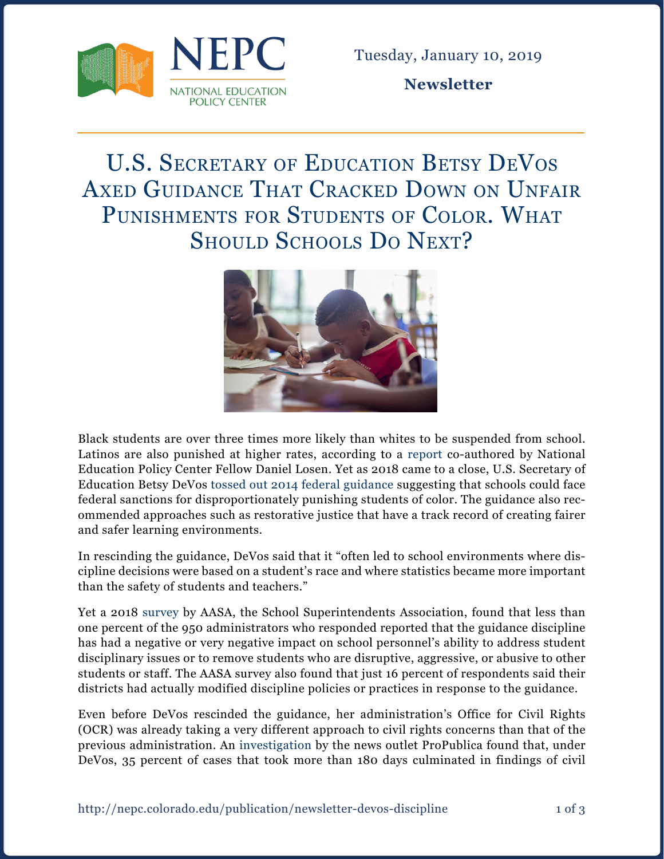

**Newsletter**

## U.S. SECRETARY OF EDUCATION BETSY DEVOS Axed Guidance That Cracked Down on Unfair Punishments for Students of Color. What SHOULD SCHOOLS DO NEXT?



Black students are over three times more likely than whites to be suspended from school. Latinos are also punished at higher rates, according to a [report](https://www.civilrightsproject.ucla.edu/resources/projects/center-for-civil-rights-remedies/school-to-prison-folder/federal-reports/are-we-closing-the-school-discipline-gap/losen-are-we-closing-discipline-gap-2015-summary.pdf) co-authored by National Education Policy Center Fellow Daniel Losen. Yet as 2018 came to a close, U.S. Secretary of Education Betsy DeVos [tossed out](https://blogs.edweek.org/edweek/campaign-k-12/2018/12/betsy_devos_revokes_obama_discipline_guidance_students_of_color_protect.html) [2014 federal guidance](https://www.ed.gov/news/press-releases/us-departments-education-and-justice-release-school-discipline-guidance-package-) suggesting that schools could face federal sanctions for disproportionately punishing students of color. The guidance also recommended approaches such as restorative justice that have a track record of creating fairer and safer learning environments.

In rescinding the guidance, DeVos said that it "often led to school environments where discipline decisions were based on a student's race and where statistics became more important than the safety of students and teachers."

Yet a 2018 [survey](http://aasa.org/uploadedFiles/AASA_Blog(1)/AASASurveyDisciplineGuidance2014.pdf) by AASA, the School Superintendents Association, found that less than one percent of the 950 administrators who responded reported that the guidance discipline has had a negative or very negative impact on school personnel's ability to address student disciplinary issues or to remove students who are disruptive, aggressive, or abusive to other students or staff. The AASA survey also found that just 16 percent of respondents said their districts had actually modified discipline policies or practices in response to the guidance.

Even before DeVos rescinded the guidance, her administration's Office for Civil Rights (OCR) was already taking a very different approach to civil rights concerns than that of the previous administration. An [investigation](https://www.propublica.org/article/devos-has-scuttled-more-than-1-200-civil-rights-probes-inherited-from-obama) by the news outlet ProPublica found that, under DeVos, 35 percent of cases that took more than 180 days culminated in findings of civil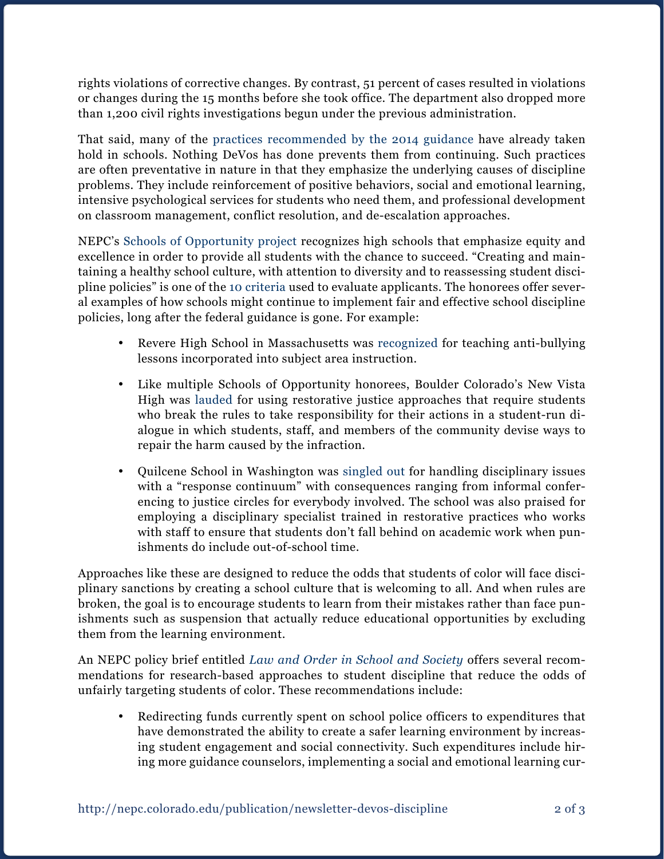rights violations of corrective changes. By contrast, 51 percent of cases resulted in violations or changes during the 15 months before she took office. The department also dropped more than 1,200 civil rights investigations begun under the previous administration.

That said, many of the [practices recommended by the 2014 guidance](http://blogs.edweek.org/edweek/rulesforengagement/2014/01/new_federal_school_discipline_guidance_addresses_discrimination_suspensions.html) have already taken hold in schools. Nothing DeVos has done prevents them from continuing. Such practices are often preventative in nature in that they emphasize the underlying causes of discipline problems. They include reinforcement of positive behaviors, social and emotional learning, intensive psychological services for students who need them, and professional development on classroom management, conflict resolution, and de-escalation approaches.

NEPC's [Schools of Opportunity project](http://schoolsofopportunity.org/) recognizes high schools that emphasize equity and excellence in order to provide all students with the chance to succeed. "Creating and maintaining a healthy school culture, with attention to diversity and to reassessing student discipline policies" is one of the [10 criteria](http://schoolsofopportunity.org/selection-criteria) used to evaluate applicants. The honorees offer several examples of how schools might continue to implement fair and effective school discipline policies, long after the federal guidance is gone. For example:

- Revere High School in Massachusetts was [recognized](https://www.washingtonpost.com/news/answer-sheet/wp/2017/03/13/academics-are-only-part-of-the-education-this-school-offers-its-diverse-student-body/?utm_term=.282e8ef657dc) for teaching anti-bullying lessons incorporated into subject area instruction.
- • Like multiple Schools of Opportunity honorees, Boulder Colorado's New Vista High was [lauded](http://schoolsofopportunity.org/recipient-details/new-vista-high-school) for using restorative justice approaches that require students who break the rules to take responsibility for their actions in a student-run dialogue in which students, staff, and members of the community devise ways to repair the harm caused by the infraction.
- • Quilcene School in Washington was [singled out](http://schoolsofopportunity.org/recipient-details/quilcine-school) for handling disciplinary issues with a "response continuum" with consequences ranging from informal conferencing to justice circles for everybody involved. The school was also praised for employing a disciplinary specialist trained in restorative practices who works with staff to ensure that students don't fall behind on academic work when punishments do include out-of-school time.

Approaches like these are designed to reduce the odds that students of color will face disciplinary sanctions by creating a school culture that is welcoming to all. And when rules are broken, the goal is to encourage students to learn from their mistakes rather than face punishments such as suspension that actually reduce educational opportunities by excluding them from the learning environment.

An NEPC policy brief entitled *[Law and Order in School and Society](https://nepc.colorado.edu/publication/law-and-order)* offers several recommendations for research-based approaches to student discipline that reduce the odds of unfairly targeting students of color. These recommendations include:

• Redirecting funds currently spent on school police officers to expenditures that have demonstrated the ability to create a safer learning environment by increasing student engagement and social connectivity. Such expenditures include hiring more guidance counselors, implementing a social and emotional learning cur